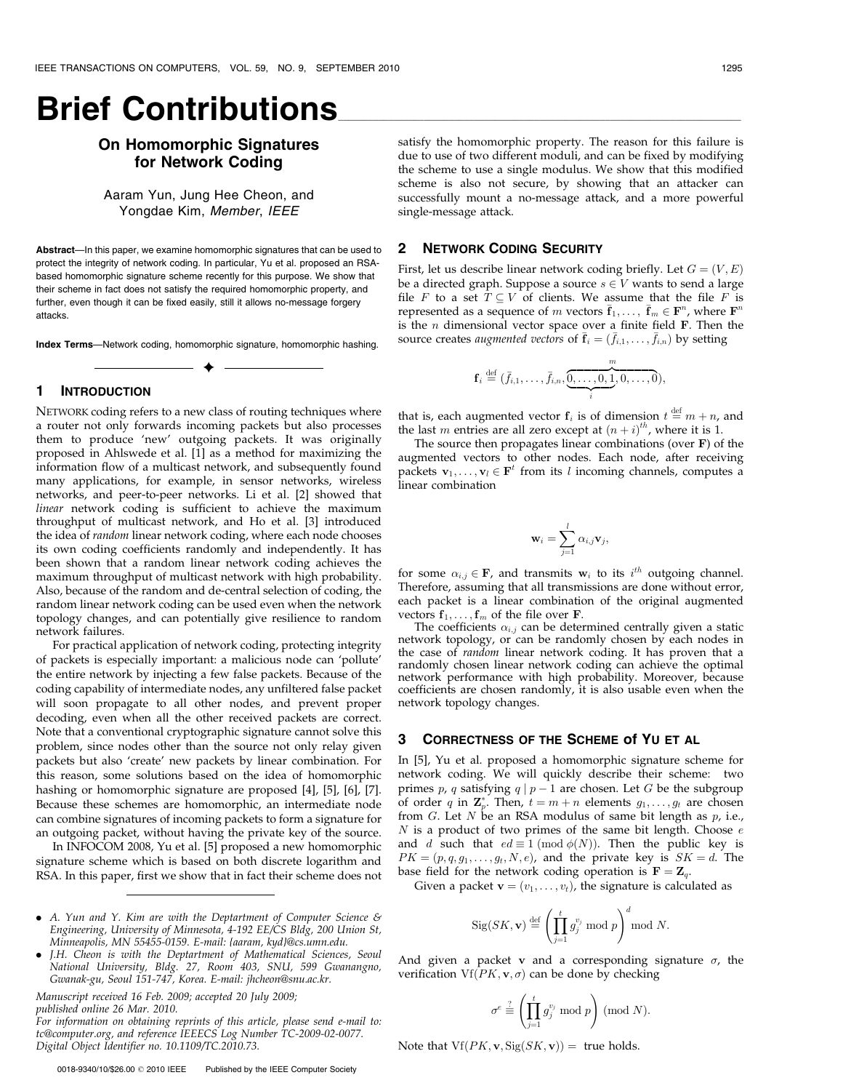# **Brief Contributions**

## On Homomorphic Signatures for Network Coding

Aaram Yun, Jung Hee Cheon, and Yongdae Kim, Member, IEEE

Abstract—In this paper, we examine homomorphic signatures that can be used to protect the integrity of network coding. In particular, Yu et al. proposed an RSAbased homomorphic signature scheme recently for this purpose. We show that their scheme in fact does not satisfy the required homomorphic property, and further, even though it can be fixed easily, still it allows no-message forgery attacks.

Index Terms—Network coding, homomorphic signature, homomorphic hashing.  $\ddotmark$ 

### 1 INTRODUCTION

NETWORK coding refers to a new class of routing techniques where a router not only forwards incoming packets but also processes them to produce 'new' outgoing packets. It was originally proposed in Ahlswede et al. [1] as a method for maximizing the information flow of a multicast network, and subsequently found many applications, for example, in sensor networks, wireless networks, and peer-to-peer networks. Li et al. [2] showed that linear network coding is sufficient to achieve the maximum throughput of multicast network, and Ho et al. [3] introduced the idea of random linear network coding, where each node chooses its own coding coefficients randomly and independently. It has been shown that a random linear network coding achieves the maximum throughput of multicast network with high probability. Also, because of the random and de-central selection of coding, the random linear network coding can be used even when the network topology changes, and can potentially give resilience to random network failures.

For practical application of network coding, protecting integrity of packets is especially important: a malicious node can 'pollute' the entire network by injecting a few false packets. Because of the coding capability of intermediate nodes, any unfiltered false packet will soon propagate to all other nodes, and prevent proper decoding, even when all the other received packets are correct. Note that a conventional cryptographic signature cannot solve this problem, since nodes other than the source not only relay given packets but also 'create' new packets by linear combination. For this reason, some solutions based on the idea of homomorphic hashing or homomorphic signature are proposed [4], [5], [6], [7]. Because these schemes are homomorphic, an intermediate node can combine signatures of incoming packets to form a signature for an outgoing packet, without having the private key of the source.

In INFOCOM 2008, Yu et al. [5] proposed a new homomorphic signature scheme which is based on both discrete logarithm and RSA. In this paper, first we show that in fact their scheme does not

- . A. Yun and Y. Kim are with the Deptartment of Computer Science & Engineering, University of Minnesota, 4-192 EE/CS Bldg, 200 Union St, Minneapolis, MN 55455-0159. E-mail: {aaram, kyd}@cs.umn.edu.
- . J.H. Cheon is with the Deptartment of Mathematical Sciences, Seoul National University, Bldg. 27, Room 403, SNU, 599 Gwanangno, Gwanak-gu, Seoul 151-747, Korea. E-mail: jhcheon@snu.ac.kr.

Manuscript received 16 Feb. 2009; accepted 20 July 2009; published online 26 Mar. 2010.

#### 2 NETWORK CODING SECURITY

First, let us describe linear network coding briefly. Let  $G = (V, E)$ be a directed graph. Suppose a source  $s \in V$  wants to send a large file F to a set  $T \subseteq V$  of clients. We assume that the file F is represented as a sequence of m vectors  $\bar{\mathbf{f}}_1, \ldots, \ \bar{\mathbf{f}}_m \in \mathbf{F}^n$ , where  $\mathbf{F}^n$ is the  $n$  dimensional vector space over a finite field **. Then the** source creates *augmented vectors* of  $\bar{\mathbf{f}}_i = (\bar{f}_{i,1}, \dots, \bar{f}_{i,n})$  by setting

$$
\mathbf{f}_i \stackrel{\text{def}}{=} (\bar{f}_{i,1}, \ldots, \bar{f}_{i,n}, \underbrace{\overbrace{0,\ldots,0,1}^{m},0,\ldots,0}_{i}),
$$

that is, each augmented vector  $\mathbf{f}_i$  is of dimension  $t\stackrel{\text{def}}{=} m+n$ , and the last m entries are all zero except at  $(n + i)^{th}$ , where it is 1.

The source then propagates linear combinations (over  $F$ ) of the augmented vectors to other nodes. Each node, after receiving packets  $\mathbf{v}_1, \ldots, \mathbf{v}_l \in \mathbf{F}^t$  from its l incoming channels, computes a linear combination

$$
\mathbf{w}_i = \sum_{j=1}^l \alpha_{i,j} \mathbf{v}_j,
$$

for some  $\alpha_{i,j} \in \mathbf{F}$ , and transmits  $\mathbf{w}_i$  to its  $i^{th}$  outgoing channel. Therefore, assuming that all transmissions are done without error, each packet is a linear combination of the original augmented vectors  $f_1, \ldots, f_m$  of the file over **F**.

The coefficients  $\alpha_{i,j}$  can be determined centrally given a static network topology, or can be randomly chosen by each nodes in the case of random linear network coding. It has proven that a randomly chosen linear network coding can achieve the optimal network performance with high probability. Moreover, because coefficients are chosen randomly, it is also usable even when the network topology changes.

#### 3 CORRECTNESS OF THE SCHEME of YU ET AL

In [5], Yu et al. proposed a homomorphic signature scheme for network coding. We will quickly describe their scheme: two primes p, q satisfying  $q | p - 1$  are chosen. Let G be the subgroup of order q in  $\mathbf{Z}_p^*$ . Then,  $t = m + n$  elements  $g_1, \ldots, g_t$  are chosen from  $G$ . Let  $N$  be an RSA modulus of same bit length as  $p$ , i.e.,  $N$  is a product of two primes of the same bit length. Choose  $e$ and d such that  $ed \equiv 1 \pmod{\phi(N)}$ . Then the public key is  $PK = (p, q, g_1, \ldots, g_t, N, e)$ , and the private key is  $SK = d$ . The base field for the network coding operation is  $\mathbf{F} = \mathbf{Z}_q$ .

Given a packet  $\mathbf{v} = (v_1, \dots, v_t)$ , the signature is calculated as

$$
Sig(SK, \mathbf{v}) \stackrel{\text{def}}{=} \left( \prod_{j=1}^{t} g_j^{v_j} \bmod p \right)^d \bmod N.
$$

And given a packet v and a corresponding signature  $\sigma$ , the verification  $Vf(PK, v, \sigma)$  can be done by checking

$$
\sigma^e \stackrel{?}{\equiv} \left(\prod_{j=1}^t g_j^{v_j} \bmod p\right) \pmod{N}.
$$

Note that  $Vf(PK, v, Sig(SK, v)) =$  true holds.

For information on obtaining reprints of this article, please send e-mail to: tc@computer.org, and reference IEEECS Log Number TC-2009-02-0077. Digital Object Identifier no. 10.1109/TC.2010.73.